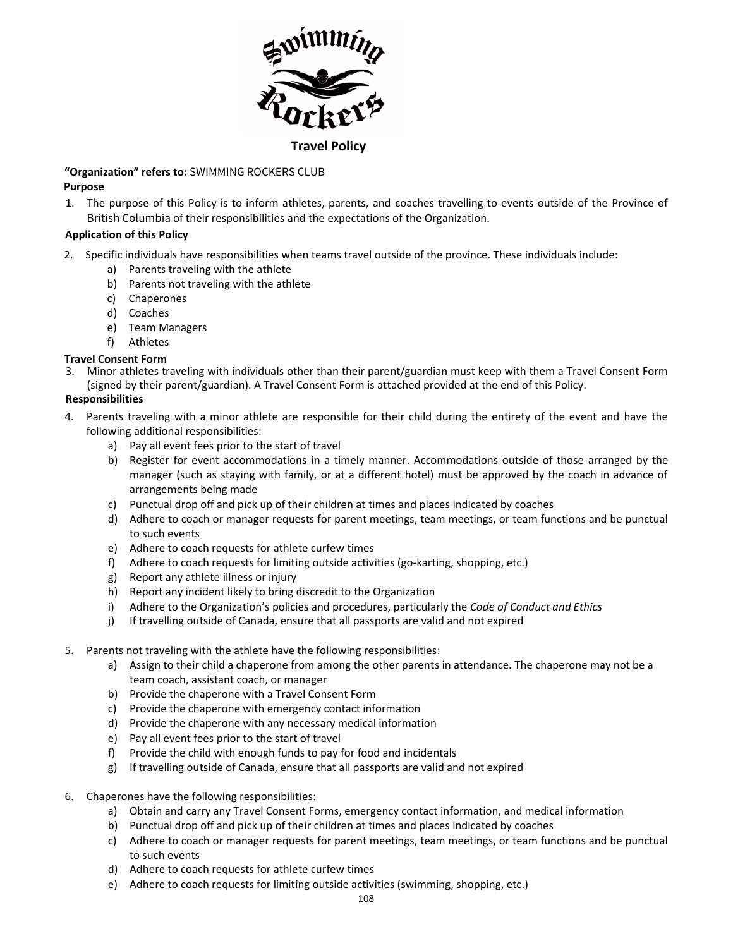

#### **Travel Policy**

#### **"Organization" refers to:** SWIMMING ROCKERS CLUB **Purpose**

1. The purpose of this Policy is to inform athletes, parents, and coaches travelling to events outside of the Province of British Columbia of their responsibilities and the expectations of the Organization.

## **Application of this Policy**

- 2. Specific individuals have responsibilities when teams travel outside of the province. These individuals include:
	- a) Parents traveling with the athlete
	- b) Parents not traveling with the athlete
	- c) Chaperones
	- d) Coaches
	- e) Team Managers
	- f) Athletes

### **Travel Consent Form**

3. Minor athletes traveling with individuals other than their parent/guardian must keep with them a Travel Consent Form (signed by their parent/guardian). A Travel Consent Form is attached provided at the end of this Policy.

### **Responsibilities**

- 4. Parents traveling with a minor athlete are responsible for their child during the entirety of the event and have the following additional responsibilities:
	- a) Pay all event fees prior to the start of travel
	- b) Register for event accommodations in a timely manner. Accommodations outside of those arranged by the manager (such as staying with family, or at a different hotel) must be approved by the coach in advance of arrangements being made
	- c) Punctual drop off and pick up of their children at times and places indicated by coaches
	- d) Adhere to coach or manager requests for parent meetings, team meetings, or team functions and be punctual to such events
	- e) Adhere to coach requests for athlete curfew times
	- f) Adhere to coach requests for limiting outside activities (go-karting, shopping, etc.)
	- g) Report any athlete illness or injury
	- h) Report any incident likely to bring discredit to the Organization
	- i) Adhere to the Organization's policies and procedures, particularly the *Code of Conduct and Ethics*
	- j) If travelling outside of Canada, ensure that all passports are valid and not expired
- 5. Parents not traveling with the athlete have the following responsibilities:
	- a) Assign to their child a chaperone from among the other parents in attendance. The chaperone may not be a team coach, assistant coach, or manager
	- b) Provide the chaperone with a Travel Consent Form
	- c) Provide the chaperone with emergency contact information
	- d) Provide the chaperone with any necessary medical information
	- e) Pay all event fees prior to the start of travel
	- f) Provide the child with enough funds to pay for food and incidentals
	- g) If travelling outside of Canada, ensure that all passports are valid and not expired
- 6. Chaperones have the following responsibilities:
	- a) Obtain and carry any Travel Consent Forms, emergency contact information, and medical information
	- b) Punctual drop off and pick up of their children at times and places indicated by coaches
	- c) Adhere to coach or manager requests for parent meetings, team meetings, or team functions and be punctual to such events
	- d) Adhere to coach requests for athlete curfew times
	- e) Adhere to coach requests for limiting outside activities (swimming, shopping, etc.)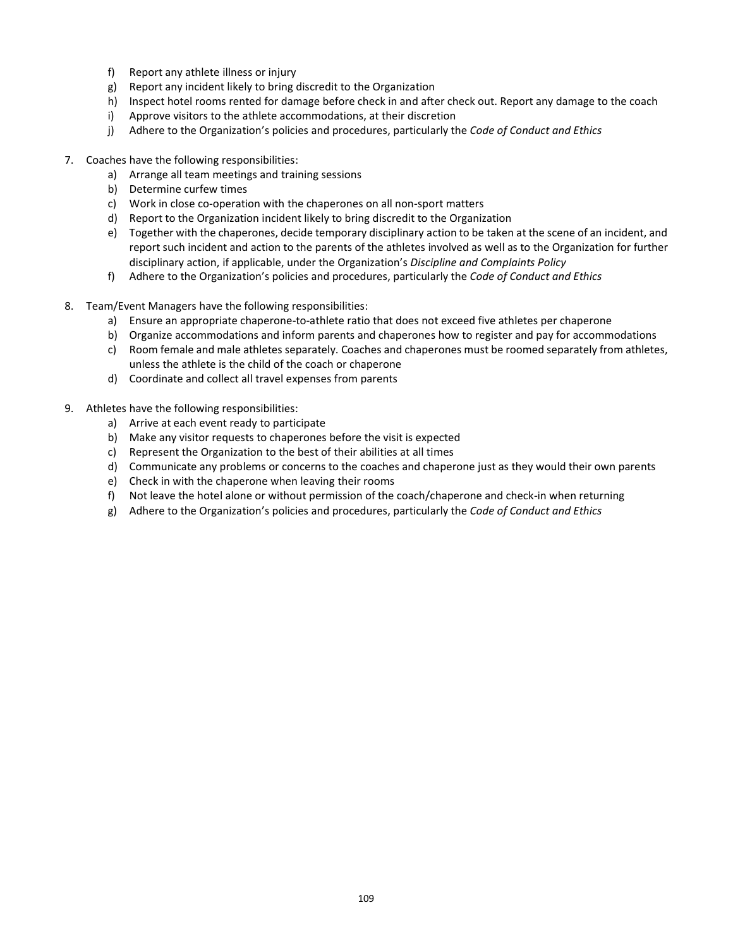- f) Report any athlete illness or injury
- g) Report any incident likely to bring discredit to the Organization
- h) Inspect hotel rooms rented for damage before check in and after check out. Report any damage to the coach
- i) Approve visitors to the athlete accommodations, at their discretion
- j) Adhere to the Organization's policies and procedures, particularly the *Code of Conduct and Ethics*
- 7. Coaches have the following responsibilities:
	- a) Arrange all team meetings and training sessions
	- b) Determine curfew times
	- c) Work in close co-operation with the chaperones on all non-sport matters
	- d) Report to the Organization incident likely to bring discredit to the Organization
	- e) Together with the chaperones, decide temporary disciplinary action to be taken at the scene of an incident, and report such incident and action to the parents of the athletes involved as well as to the Organization for further disciplinary action, if applicable, under the Organization's *Discipline and Complaints Policy*
	- f) Adhere to the Organization's policies and procedures, particularly the *Code of Conduct and Ethics*
- 8. Team/Event Managers have the following responsibilities:
	- a) Ensure an appropriate chaperone-to-athlete ratio that does not exceed five athletes per chaperone
	- b) Organize accommodations and inform parents and chaperones how to register and pay for accommodations
	- c) Room female and male athletes separately. Coaches and chaperones must be roomed separately from athletes, unless the athlete is the child of the coach or chaperone
	- d) Coordinate and collect all travel expenses from parents
- 9. Athletes have the following responsibilities:
	- a) Arrive at each event ready to participate
	- b) Make any visitor requests to chaperones before the visit is expected
	- c) Represent the Organization to the best of their abilities at all times
	- d) Communicate any problems or concerns to the coaches and chaperone just as they would their own parents
	- e) Check in with the chaperone when leaving their rooms
	- f) Not leave the hotel alone or without permission of the coach/chaperone and check-in when returning
	- g) Adhere to the Organization's policies and procedures, particularly the *Code of Conduct and Ethics*